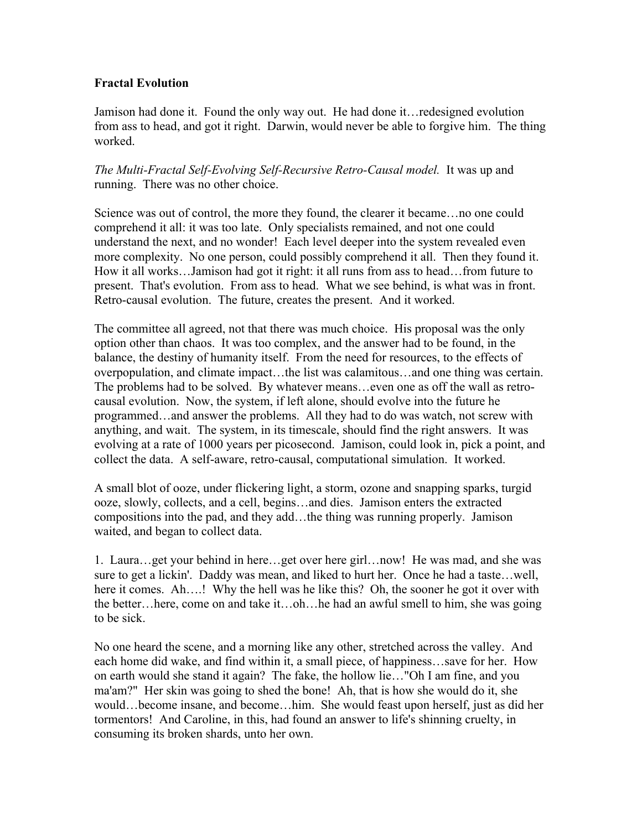## **Fractal Evolution**

Jamison had done it. Found the only way out. He had done it…redesigned evolution from ass to head, and got it right. Darwin, would never be able to forgive him. The thing worked.

*The Multi-Fractal Self-Evolving Self-Recursive Retro-Causal model.* It was up and running. There was no other choice.

Science was out of control, the more they found, the clearer it became…no one could comprehend it all: it was too late. Only specialists remained, and not one could understand the next, and no wonder! Each level deeper into the system revealed even more complexity. No one person, could possibly comprehend it all. Then they found it. How it all works…Jamison had got it right: it all runs from ass to head…from future to present. That's evolution. From ass to head. What we see behind, is what was in front. Retro-causal evolution. The future, creates the present. And it worked.

The committee all agreed, not that there was much choice. His proposal was the only option other than chaos. It was too complex, and the answer had to be found, in the balance, the destiny of humanity itself. From the need for resources, to the effects of overpopulation, and climate impact…the list was calamitous…and one thing was certain. The problems had to be solved. By whatever means…even one as off the wall as retrocausal evolution. Now, the system, if left alone, should evolve into the future he programmed…and answer the problems. All they had to do was watch, not screw with anything, and wait. The system, in its timescale, should find the right answers. It was evolving at a rate of 1000 years per picosecond. Jamison, could look in, pick a point, and collect the data. A self-aware, retro-causal, computational simulation. It worked.

A small blot of ooze, under flickering light, a storm, ozone and snapping sparks, turgid ooze, slowly, collects, and a cell, begins…and dies. Jamison enters the extracted compositions into the pad, and they add…the thing was running properly. Jamison waited, and began to collect data.

1. Laura…get your behind in here…get over here girl…now! He was mad, and she was sure to get a lickin'. Daddy was mean, and liked to hurt her. Once he had a taste…well, here it comes. Ah….! Why the hell was he like this? Oh, the sooner he got it over with the better…here, come on and take it…oh…he had an awful smell to him, she was going to be sick.

No one heard the scene, and a morning like any other, stretched across the valley. And each home did wake, and find within it, a small piece, of happiness…save for her. How on earth would she stand it again? The fake, the hollow lie…"Oh I am fine, and you ma'am?" Her skin was going to shed the bone! Ah, that is how she would do it, she would…become insane, and become…him. She would feast upon herself, just as did her tormentors! And Caroline, in this, had found an answer to life's shinning cruelty, in consuming its broken shards, unto her own.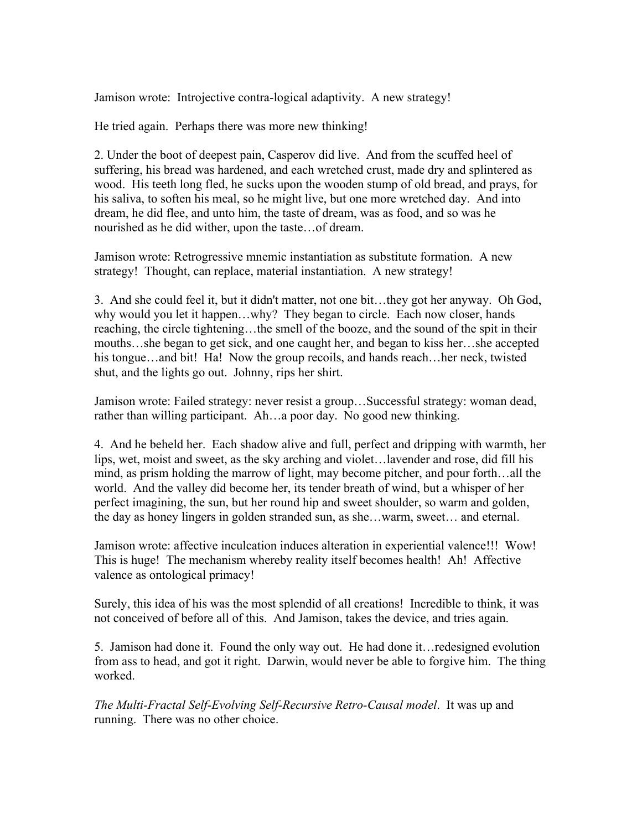Jamison wrote: Introjective contra-logical adaptivity. A new strategy!

He tried again. Perhaps there was more new thinking!

2. Under the boot of deepest pain, Casperov did live. And from the scuffed heel of suffering, his bread was hardened, and each wretched crust, made dry and splintered as wood. His teeth long fled, he sucks upon the wooden stump of old bread, and prays, for his saliva, to soften his meal, so he might live, but one more wretched day. And into dream, he did flee, and unto him, the taste of dream, was as food, and so was he nourished as he did wither, upon the taste…of dream.

Jamison wrote: Retrogressive mnemic instantiation as substitute formation. A new strategy! Thought, can replace, material instantiation. A new strategy!

3. And she could feel it, but it didn't matter, not one bit…they got her anyway. Oh God, why would you let it happen…why? They began to circle. Each now closer, hands reaching, the circle tightening…the smell of the booze, and the sound of the spit in their mouths…she began to get sick, and one caught her, and began to kiss her…she accepted his tongue…and bit! Ha! Now the group recoils, and hands reach…her neck, twisted shut, and the lights go out. Johnny, rips her shirt.

Jamison wrote: Failed strategy: never resist a group…Successful strategy: woman dead, rather than willing participant. Ah…a poor day. No good new thinking.

4. And he beheld her. Each shadow alive and full, perfect and dripping with warmth, her lips, wet, moist and sweet, as the sky arching and violet…lavender and rose, did fill his mind, as prism holding the marrow of light, may become pitcher, and pour forth…all the world. And the valley did become her, its tender breath of wind, but a whisper of her perfect imagining, the sun, but her round hip and sweet shoulder, so warm and golden, the day as honey lingers in golden stranded sun, as she…warm, sweet… and eternal.

Jamison wrote: affective inculcation induces alteration in experiential valence!!! Wow! This is huge! The mechanism whereby reality itself becomes health! Ah! Affective valence as ontological primacy!

Surely, this idea of his was the most splendid of all creations! Incredible to think, it was not conceived of before all of this. And Jamison, takes the device, and tries again.

5. Jamison had done it. Found the only way out. He had done it…redesigned evolution from ass to head, and got it right. Darwin, would never be able to forgive him. The thing worked.

*The Multi-Fractal Self-Evolving Self-Recursive Retro-Causal model*. It was up and running. There was no other choice.